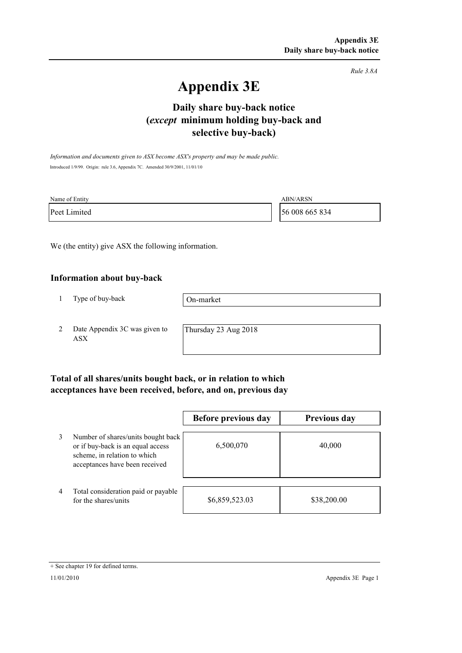*Rule 3.8A*

# **Appendix 3E**

## **selective buy-back) Daily share buy-back notice (***except* **minimum holding buy-back and**

*Information and documents given to ASX become ASX's property and may be made public.* Introduced 1/9/99. Origin: rule 3.6, Appendix 7C. Amended 30/9/2001, 11/01/10

| Name of Entity | <b>ABN/ARSN</b> |
|----------------|-----------------|
| Peet Limited   | 56 008 665 834  |

We (the entity) give ASX the following information.

#### **Information about buy-back**

1 Type of buy-back

On-market

2 Date Appendix 3C was given to ASX

Thursday 23 Aug 2018

### **Total of all shares/units bought back, or in relation to which acceptances have been received, before, and on, previous day**

|   |                                                                                                                                           | Before previous day | <b>Previous day</b> |
|---|-------------------------------------------------------------------------------------------------------------------------------------------|---------------------|---------------------|
| 3 | Number of shares/units bought back<br>or if buy-back is an equal access<br>scheme, in relation to which<br>acceptances have been received | 6,500,070           | 40,000              |
| 4 | Total consideration paid or payable<br>for the shares/units                                                                               | \$6,859,523.03      | \$38,200.00         |

<sup>+</sup> See chapter 19 for defined terms.